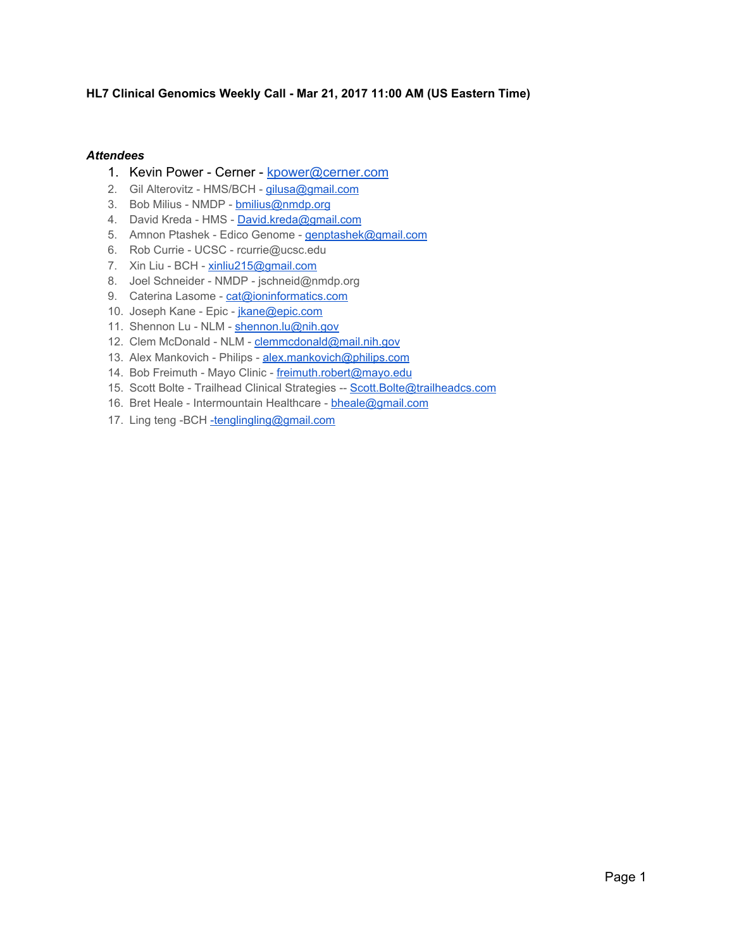#### **HL7 Clinical Genomics Weekly Call - Mar 21, 2017 11:00 AM (US Eastern Time)**

#### *Attendees*

- 1. Kevin Power Cerner [kpower@cerner.com](mailto:kpower@cerner.com)
- 2. Gil Alterovitz HMS/BCH [gilusa@gmail.com](mailto:gilusa@gmail.com)
- 3. Bob Milius NMDP [bmilius@nmdp.org](mailto:bmilius@nmdp.org)
- 4. David Kreda HMS [David.kreda@gmail.com](mailto:David.kreda@gmail.com)
- 5. Amnon Ptashek Edico Genome [genptashek@gmail.com](mailto:genptashek@gmail.com)
- 6. Rob Currie UCSC rcurrie@ucsc.edu
- 7. Xin Liu BCH [xinliu215@gmail.com](mailto:xinliu215@gmail.com)
- 8. Joel Schneider NMDP jschneid@nmdp.org
- 9. Caterina Lasome [cat@ioninformatics.com](mailto:cat@ioninformatics.com)
- 10. Joseph Kane Epic [jkane@epic.com](mailto:jkane@epic.com)
- 11. Shennon Lu NLM [shennon.lu@nih.gov](mailto:shennon.lu@nih.gov)
- 12. Clem McDonald NLM [clemmcdonald@mail.nih.gov](mailto:clemmcdonald@mail.nih.gov)
- 13. Alex Mankovich Philips [alex.mankovich@philips.com](mailto:alex.mankovich@philips.com)
- 14. Bob Freimuth Mayo Clinic [freimuth.robert@mayo.edu](mailto:freimuth.robert@mayo.edu)
- 15. Scott Bolte Trailhead Clinical Strategies -- Scott. Bolte@trailheadcs.com
- 16. Bret Heale Intermountain Healthcare [bheale@gmail.com](mailto:bheale@gmail.com)
- 17. Ling teng -BCH [-tenglingling@gmail.com](mailto:-tenglingling@gmail.com)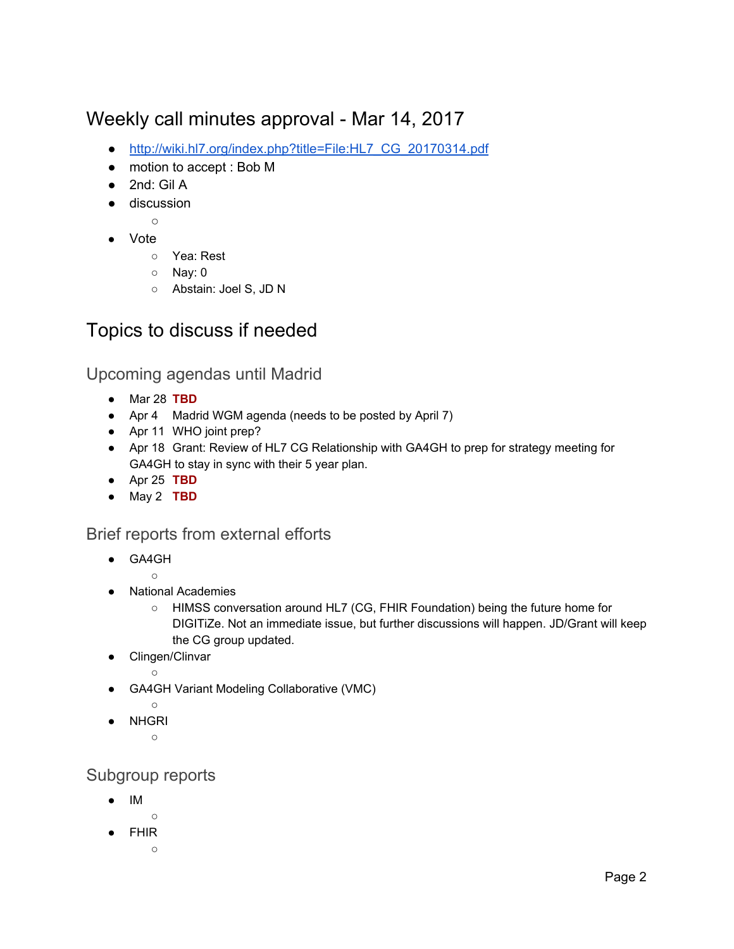# Weekly call minutes approval - Mar 14, 2017

- [http://wiki.hl7.org/index.php?title=File:HL7\\_CG\\_20170314.pdf](http://wiki.hl7.org/index.php?title=File:HL7_CG_20170314.pdf)
- motion to accept : Bob M
- 2nd: Gil A
- discussion
	- $\circ$
- Vote
	- Yea: Rest
	- Nay: 0
	- Abstain: Joel S, JD N

# Topics to discuss if needed

Upcoming agendas until Madrid

- Mar 28 **TBD**
- Apr 4 Madrid WGM agenda (needs to be posted by April 7)
- Apr 11 WHO joint prep?
- Apr 18 Grant: Review of HL7 CG Relationship with GA4GH to prep for strategy meeting for GA4GH to stay in sync with their 5 year plan.
- Apr 25 **TBD**
- May 2 **TBD**

 $\circ$ 

### Brief reports from external efforts

- GA4GH
	-
- **National Academies** 
	- HIMSS conversation around HL7 (CG, FHIR Foundation) being the future home for DIGITiZe. Not an immediate issue, but further discussions will happen. JD/Grant will keep the CG group updated.
- Clingen/Clinvar
	- ○
- GA4GH Variant Modeling Collaborative (VMC)
- $\circ$
- **NHGRI** 
	- ○

### Subgroup reports

- IM
	- ○
- FHIR  $\circ$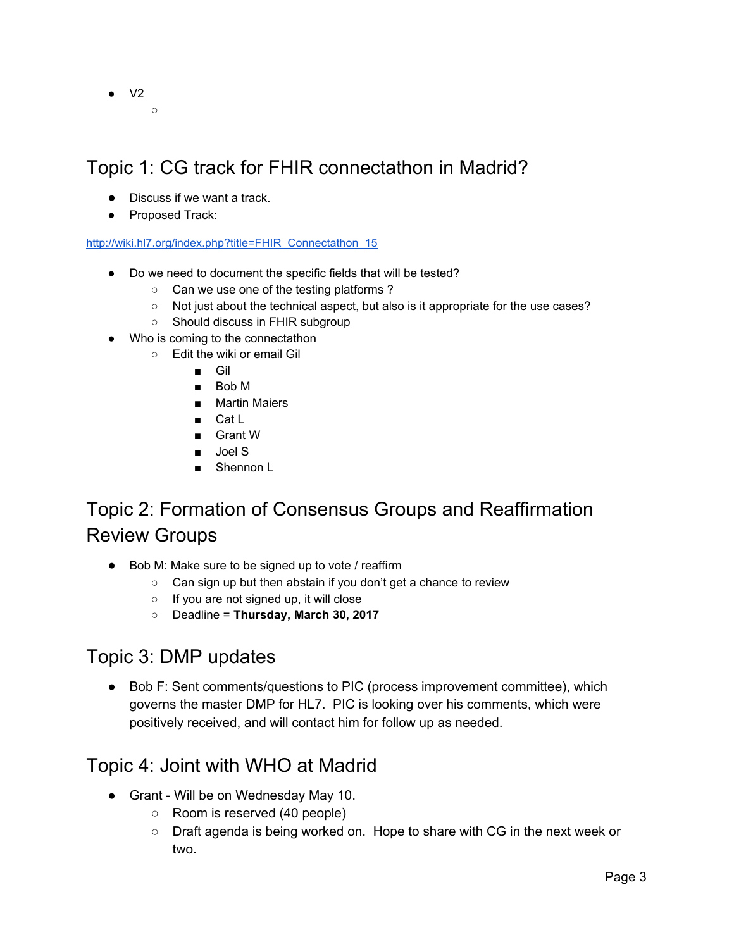$\bullet$  V2  $\Omega$ 

# Topic 1: CG track for FHIR connectathon in Madrid?

- Discuss if we want a track.
- Proposed Track:

[http://wiki.hl7.org/index.php?title=FHIR\\_Connectathon\\_15](http://wiki.hl7.org/index.php?title=FHIR_Connectathon_15)

- Do we need to document the specific fields that will be tested?
	- Can we use one of the testing platforms ?
	- Not just about the technical aspect, but also is it appropriate for the use cases?
	- Should discuss in FHIR subgroup
- Who is coming to the connectathon
	- Edit the wiki or email Gil
		- Gil
		- Bob M
		- Martin Maiers
		- Cat L
		- Grant W
		- Joel S
		- Shennon L

# Topic 2: Formation of Consensus Groups and Reaffirmation Review Groups

- Bob M: Make sure to be signed up to vote / reaffirm
	- Can sign up but then abstain if you don't get a chance to review
	- If you are not signed up, it will close
	- Deadline = **Thursday, March 30, 2017**

# Topic 3: DMP updates

● Bob F: Sent comments/questions to PIC (process improvement committee), which governs the master DMP for HL7. PIC is looking over his comments, which were positively received, and will contact him for follow up as needed.

# Topic 4: Joint with WHO at Madrid

- Grant Will be on Wednesday May 10.
	- Room is reserved (40 people)
	- Draft agenda is being worked on. Hope to share with CG in the next week or two.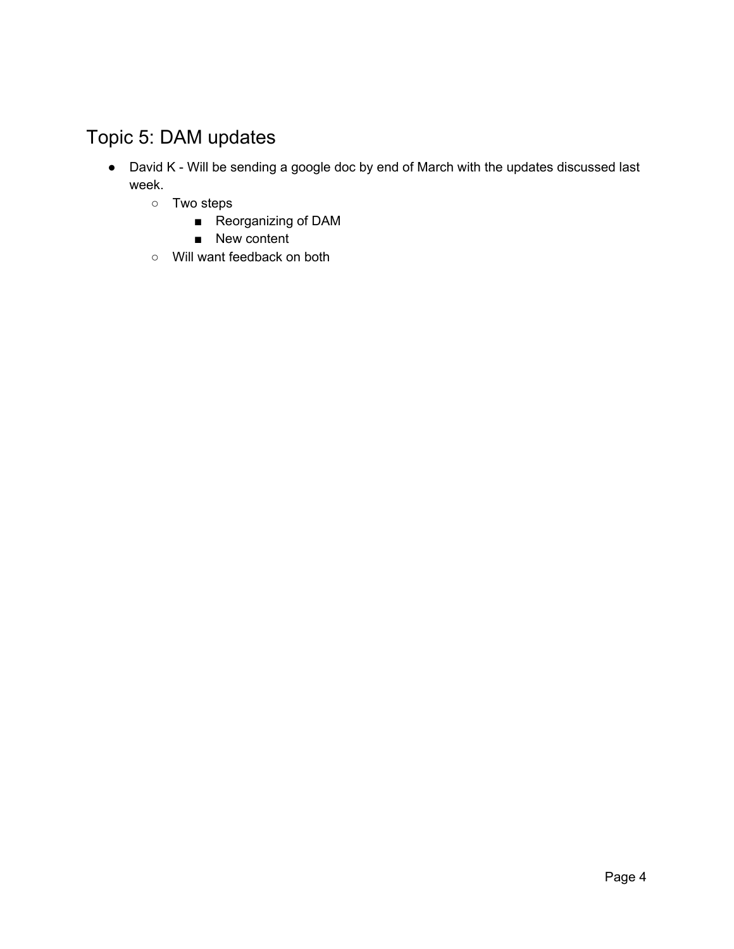# Topic 5: DAM updates

- David K Will be sending a google doc by end of March with the updates discussed last week.
	- Two steps
		- Reorganizing of DAM
		- New content
	- Will want feedback on both